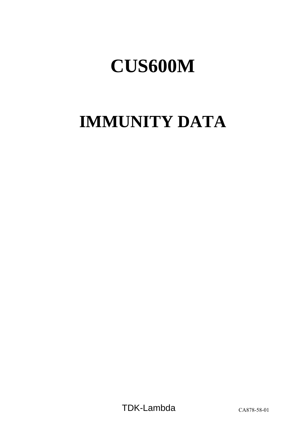# **IMMUNITY DATA**

TDK-Lambda CA878-58-01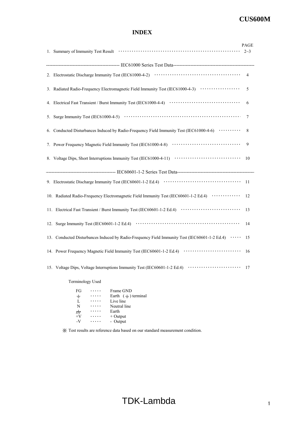# **INDEX**

|    | 1. Summary of Immunity Test Result (1000) (1000) (1000) (1000) (1000) (1000) (1000) (1000) (1000) (1000) (1000) (1000) (1000) (1000) (1000) (1000) (1000) (1000) (1000) (1000) (1000) (1000) (1000) (1000) (1000) (1000) (1000 | PAGE<br>$2 - 3$ |
|----|--------------------------------------------------------------------------------------------------------------------------------------------------------------------------------------------------------------------------------|-----------------|
|    |                                                                                                                                                                                                                                |                 |
|    |                                                                                                                                                                                                                                | 4               |
|    | 3. Radiated Radio-Frequency Electromagnetic Field Immunity Test (IEC61000-4-3) ···················                                                                                                                             | 5               |
|    |                                                                                                                                                                                                                                | 6               |
|    |                                                                                                                                                                                                                                | 7               |
| 6. | Conducted Disturbances Induced by Radio-Frequency Field Immunity Test (IEC61000-4-6)                                                                                                                                           | 8               |
|    |                                                                                                                                                                                                                                | 9               |
|    | 8. Voltage Dips, Short Interruptions Immunity Test (IEC61000-4-11)                                                                                                                                                             | 10              |
|    |                                                                                                                                                                                                                                |                 |
|    |                                                                                                                                                                                                                                | 11              |
|    | 10. Radiated Radio-Frequency Electromagnetic Field Immunity Test (IEC60601-1-2 Ed.4)                                                                                                                                           | 12              |
|    | 11. Electrical Fast Transient / Burst Immunity Test (IEC60601-1-2 Ed.4)                                                                                                                                                        | 13              |
|    |                                                                                                                                                                                                                                | 14              |
|    | 13. Conducted Disturbances Induced by Radio-Frequency Field Immunity Test (IEC60601-1-2 Ed.4)                                                                                                                                  | 15              |
|    | 14. Power Frequency Magnetic Field Immunity Test (IEC60601-1-2 Ed.4) ······························                                                                                                                            | 16              |
|    | 15. Voltage Dips, Voltage Interruptions Immunity Test (IEC60601-1-2 Ed.4)                                                                                                                                                      | 17              |
|    | <b>Terminology Used</b>                                                                                                                                                                                                        |                 |

| FG    | Frame GND                  |
|-------|----------------------------|
| ┷     | Earth $($ $=$ $)$ terminal |
| L     | Live line                  |
| N     | Neutral line               |
| $\pi$ | Earth                      |
| $+V$  | $+$ Output                 |
| $-V$  | - Output                   |
|       |                            |

※ Test results are reference data based on our standard measurement condition.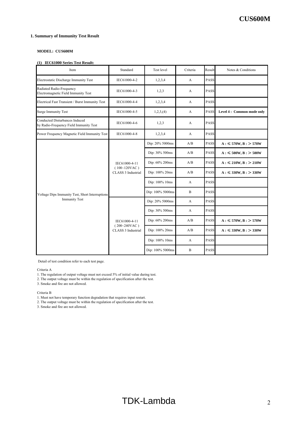#### **1. Summary of Immunity Test Result**

#### **MODEL: CUS600M**

#### **(1) IEC61000 Series Test Result:**

| Standard<br>Item                                                                |                                                        | Test level       | Criteria     | Result      | Notes & Conditions        |
|---------------------------------------------------------------------------------|--------------------------------------------------------|------------------|--------------|-------------|---------------------------|
| Electrostatic Discharge Immunity Test<br>IEC61000-4-2                           |                                                        | 1,2,3,4          | A            | PASS        |                           |
| Radiated Radio-Frequency<br>Electromagnetic Field Immunity Test                 | IEC61000-4-3                                           | 1,2,3            | A            | <b>PASS</b> |                           |
| Electrical Fast Transient / Burst Immunity Test                                 | IEC61000-4-4                                           | 1,2,3,4          | A            | PASS        |                           |
| <b>Surge Immunity Test</b>                                                      | IEC61000-4-5                                           | 1,2,3, (4)       | A            | PASS        | Level 4: Common mode only |
| <b>Conducted Disturbances Induced</b><br>by Radio-Frequency Field Immunity Test | IEC61000-4-6                                           | 1,2,3            | A            | <b>PASS</b> |                           |
| Power Frequency Magnetic Field Immunity Test                                    | IEC61000-4-8                                           | 1,2,3,4          | A            | <b>PASS</b> |                           |
|                                                                                 |                                                        | Dip: 20% 5000ms  | A/B          | PASS        | $A: \leq 570W, B: > 570W$ |
|                                                                                 | IEC61000-4-11<br>$(100~120$ VAC)<br>CLASS 3 Industrial | Dip: 30% 500ms   | A/B          | PASS        | $A: \leq 500W, B: > 500W$ |
|                                                                                 |                                                        | Dip: 60% 200ms   | A/B          | PASS        | $A: \leq 210W, B: > 210W$ |
|                                                                                 |                                                        | Dip: 100% 20ms   | A/B          | PASS        | $A: \leq 330W, B: > 330W$ |
|                                                                                 |                                                        | Dip: 100% 10ms   | A            | PASS        |                           |
| Voltage Dips Immunity Test, Short Interruptions                                 |                                                        | Dip: 100% 5000ms | $\mathbf{B}$ | <b>PASS</b> |                           |
| <b>Immunity Test</b>                                                            |                                                        | Dip: 20% 5000ms  | A            | PASS        |                           |
|                                                                                 |                                                        | Dip: 30% 500ms   | A            | PASS        |                           |
|                                                                                 | IEC61000-4-11                                          | Dip: 60% 200ms   | A/B          | PASS        | $A: \leq 570W, B: > 570W$ |
|                                                                                 | $(200~240$ VAC)<br>CLASS 3 Industrial                  | Dip: 100% 20ms   | A/B          | PASS        | $A: \leq 330W, B: > 330W$ |
|                                                                                 |                                                        | Dip: 100% 10ms   | А            | <b>PASS</b> |                           |
|                                                                                 |                                                        | Dip: 100% 5000ms | $\mathbf B$  | PASS        |                           |

Detail of test condition refer to each test page.

Criteria A

1. The regulation of output voltage must not exceed 5% of initial value during test.

2. The output voltage must be within the regulation of specification after the test.

3. Smoke and fire are not allowed.

Criteria B

1. Must not have temporary function degradation that requires input restart.

2. The output voltage must be within the regulation of specification after the test.

3. Smoke and fire are not allowed.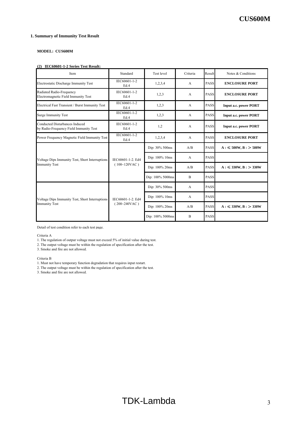#### **1. Summary of Immunity Test Result**

#### **MODEL: CUS600M**

#### **(2) IEC60601-1-2 Series Test Result:**

| Item                                                                     | Standard                             | Test level       | Criteria       | Result      | Notes & Conditions           |
|--------------------------------------------------------------------------|--------------------------------------|------------------|----------------|-------------|------------------------------|
| Electrostatic Discharge Immunity Test                                    | IEC60601-1-2<br>Ed.4                 | 1,2,3,4          | $\overline{A}$ | <b>PASS</b> | <b>ENCLOSURE PORT</b>        |
| Radiated Radio-Frequency<br>Electromagnetic Field Immunity Test          | IEC60601-1-2<br>Ed.4                 | 1,2,3            | A              | <b>PASS</b> | <b>ENCLOSURE PORT</b>        |
| Electrical Fast Transient / Burst Immunity Test                          | IEC60601-1-2<br>Ed.4                 | 1,2,3            | $\overline{A}$ | <b>PASS</b> | <b>Input a.c. power PORT</b> |
| <b>Surge Immunity Test</b>                                               | IEC60601-1-2<br>Ed.4                 | 1,2,3            | $\overline{A}$ | <b>PASS</b> | <b>Input a.c. power PORT</b> |
| Conducted Disturbances Induced<br>by Radio-Frequency Field Immunity Test | IEC60601-1-2<br>Ed.4                 | 1,2              | A              | <b>PASS</b> | <b>Input a.c. power PORT</b> |
| Power Frequency Magnetic Field Immunity Test                             | IEC60601-1-2<br>Ed.4                 | 1,2,3,4          | $\mathbf{A}$   | <b>PASS</b> | <b>ENCLOSURE PORT</b>        |
|                                                                          |                                      | Dip: 30% 500ms   | A/B            | <b>PASS</b> | $A: \leq 500W, B: > 500W$    |
| Voltage Dips Immunity Test, Short Interruptions                          | IEC60601-1-2. Ed4<br>$(100~120$ VAC) | Dip: 100% 10ms   | A              | <b>PASS</b> |                              |
| <b>Immunity Test</b>                                                     |                                      | Dip: 100% 20ms   | A/B            | PASS        | $A: \leq 330W, B: > 330W$    |
|                                                                          |                                      | Dip: 100% 5000ms | B              | <b>PASS</b> |                              |
|                                                                          |                                      | Dip: 30% 500ms   | $\overline{A}$ | <b>PASS</b> |                              |
| Voltage Dips Immunity Test, Short Interruptions                          | IEC60601-1-2. Ed4<br>$(200~240$ VAC) | Dip: 100% 10ms   | $\mathbf{A}$   | <b>PASS</b> |                              |
| <b>Immunity Test</b>                                                     |                                      | Dip: 100% 20ms   | A/B            | <b>PASS</b> | $A: \leq 330W, B: > 330W$    |
|                                                                          |                                      | Dip: 100% 5000ms | $\overline{B}$ | <b>PASS</b> |                              |

Detail of test condition refer to each test page.

Criteria A

1. The regulation of output voltage must not exceed 5% of initial value during test.

2. The output voltage must be within the regulation of specification after the test.

3. Smoke and fire are not allowed.

Criteria B

- 1. Must not have temporary function degradation that requires input restart.
- 2. The output voltage must be within the regulation of specification after the test.

3. Smoke and fire are not allowed.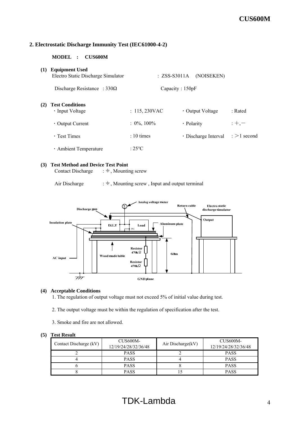## **2. Electrostatic Discharge Immunity Test (IEC61000-4-2)**

**MODEL : CUS600M**

| (1) | <b>Equipment Used</b><br>Electro Static Discharge Simulator | $: ZSS-S3011A$  | (NOISEKEN)           |                       |
|-----|-------------------------------------------------------------|-----------------|----------------------|-----------------------|
|     | Discharge Resistance : $330\Omega$                          | Capacity: 150pF |                      |                       |
| (2) | <b>Test Conditions</b><br>• Input Voltage                   | : 115,230VAC    | • Output Voltage     | : Rated               |
|     | $\cdot$ Output Current                                      | $: 0\%, 100\%$  | • Polarity           | $;+, -$               |
|     | $\cdot$ Test Times                                          | $: 10 \times$   | · Discharge Interval | $\epsilon > 1$ second |
|     | · Ambient Temperature                                       | $:25^{\circ}C$  |                      |                       |

#### **(3) Test Method and Device Test Point**

Contact Discharge  $\;\; : \frac{1}{n}$ , Mounting screw

Air Discharge  $\cdot =$ , Mounting screw, Input and output terminal



## **(4) Acceptable Conditions**

1. The regulation of output voltage must not exceed 5% of initial value during test.

- 2. The output voltage must be within the regulation of specification after the test.
- 3. Smoke and fire are not allowed.

| Contact Discharge (kV) | CUS600M-<br>12/19/24/28/32/36/48 | Air Discharge(kV) | CUS600M-<br>12/19/24/28/32/36/48 |
|------------------------|----------------------------------|-------------------|----------------------------------|
|                        | <b>PASS</b>                      |                   | <b>PASS</b>                      |
|                        | <b>PASS</b>                      |                   | <b>PASS</b>                      |
|                        | <b>PASS</b>                      |                   | <b>PASS</b>                      |
|                        | <b>PASS</b>                      |                   | <b>PASS</b>                      |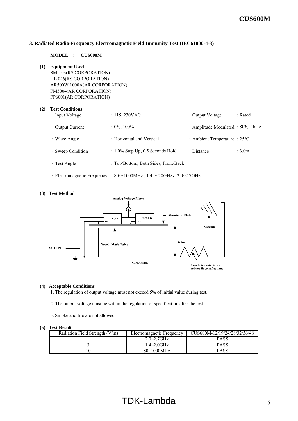#### **3. Radiated Radio-Frequency Electromagnetic Field Immunity Test (IEC61000-4-3)**

#### **MODEL : CUS600M**

**(1) Equipment Used** SML 03(RS CORPORATION) HL 046(RS CORPORATION) AR500W 1000A(AR CORPORATION) FM5004(AR CORPORATION) FP6001(AR CORPORATION)

#### **(2) Test Conditions**

| 1000 COMMITTED<br>• Input Voltage | : 115,230VAC                         | • Output Voltage                    | : Rated            |
|-----------------------------------|--------------------------------------|-------------------------------------|--------------------|
| $\cdot$ Output Current            | $: 0\%$ , 100%                       | · Amplitude Modulated : 80%, 1kHz   |                    |
| $\cdot$ Wave Angle                | : Horizontal and Vertical            | $\cdot$ Ambient Temperature : 25 °C |                    |
| · Sweep Condition                 | $: 1.0\%$ Step Up, 0.5 Seconds Hold  | • Distance                          | : 3.0 <sub>m</sub> |
| $\cdot$ Test Angle                | : Top/Bottom, Both Sides, Front/Back |                                     |                    |
|                                   |                                      |                                     |                    |

• Electromagnetic Frequency :  $80 \sim 1000$ MHz,  $1.4 \sim 2.0$ GHz,  $2.0 \sim 2.7$ GHz



# **(3) Test Method**

#### **(4) Acceptable Conditions**

1. The regulation of output voltage must not exceed 5% of initial value during test.

- 2. The output voltage must be within the regulation of specification after the test.
- 3. Smoke and fire are not allowed.

| Radiation Field Strength $(V/m)$ | Electromagnetic Frequency | CUS600M-12/19/24/28/32/36/48 |
|----------------------------------|---------------------------|------------------------------|
|                                  | $2.0 - 2.7$ GHz           | PASS                         |
|                                  | $1.4 \sim 2.0 \text{GHz}$ | <b>PASS</b>                  |
|                                  | $80 - 1000$ MHz           | PASS                         |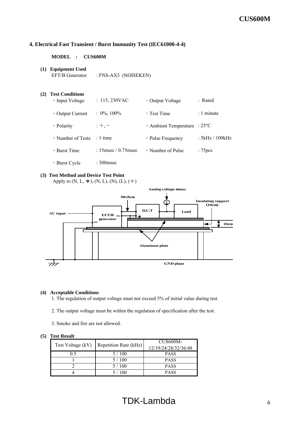## **4. Electrical Fast Transient / Burst Immunity Test (IEC61000-4-4)**

#### **MODEL : CUS600M**

**(1) Equipment Used** EFT/B Generator : FNS-AX3 (NOISEKEN)

## **(2) Test Conditions**

| $\cdot$ Input Voltage  | : 115,230VAC            | • Output Voltage                    | : Rated             |
|------------------------|-------------------------|-------------------------------------|---------------------|
| $\cdot$ Output Current | $: 0\%, 100\%$          | $\cdot$ Test Time                   | : 1 minute          |
| · Polarity             | $;+, -$                 | $\cdot$ Ambient Temperature : 25 °C |                     |
| • Number of Tests      | $: 1$ time              | $\cdot$ Pulse Frequency             | : 5kHz / 100kHz     |
| $\cdot$ Burst Time     | : 15 msec $/$ 0.75 msec | • Number of Pulse                   | : 75 <sub>pcs</sub> |
| • Burst Cycle          | $: 300$ msec            |                                     |                     |

### **(3) Test Method and Device Test Point**

Apply to  $(N, L, \pm)$ ,  $(N, L)$ ,  $(N)$ ,  $(L)$ ,  $(\pm)$ 



## **(4) Acceptable Conditions**

1. The regulation of output voltage must not exceed 5% of initial value during test.

- 2. The output voltage must be within the regulation of specification after the test.
- 3. Smoke and fire are not allowed.

| Test Voltage (kV) | Repetition Rate (kHz) | CUS <sub>600</sub> M-<br>12/19/24/28/32/36/48 |
|-------------------|-----------------------|-----------------------------------------------|
| 0.5               | 5/100                 | <b>PASS</b>                                   |
|                   | 5/100                 | <b>PASS</b>                                   |
|                   | 5/100                 | <b>PASS</b>                                   |
|                   | 5/100                 | <b>PASS</b>                                   |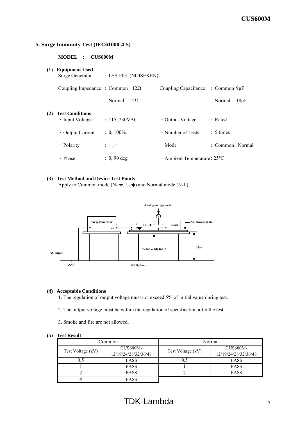## **5. Surge Immunity Test (IEC61000-4-5)**

**MODEL : CUS600M**

| (1) | <b>Equipment Used</b><br>Surge Generator  | : LSS-F03 (NOISEKEN) |           |                                     |                  |           |
|-----|-------------------------------------------|----------------------|-----------|-------------------------------------|------------------|-----------|
|     | Coupling Impedance : Common $12\Omega$    |                      |           | Coupling Capacitance : Common 9µF   |                  |           |
|     |                                           | Normal               | $2\Omega$ |                                     | Normal           | $18\mu F$ |
| (2) | <b>Test Conditions</b><br>• Input Voltage | : 115,230VAC         |           | • Output Voltage                    | : Rated          |           |
|     | $\cdot$ Output Current                    | $: 0, 100\%$         |           | $\cdot$ Number of Tests             | $: 5 \times$     |           |
|     | • Polarity                                | $;+, -$              |           | $\cdot$ Mode                        | : Common, Normal |           |
|     | · Phase                                   | $: 0.90 \text{ deg}$ |           | $\cdot$ Ambient Temperature : 25 °C |                  |           |

## **(3) Test Method and Device Test Points**

Apply to Common mode (N- $\frac{1}{2}$ , L- $\frac{1}{2}$ ) and Normal mode (N-L)



## **(4) Acceptable Conditions**

1. The regulation of output voltage must not exceed 5% of initial value during test.

- 2. The output voltage must be within the regulation of specification after the test.
- 3. Smoke and fire are not allowed.

|                   | .`ommon                          |                   | Normal                                  |
|-------------------|----------------------------------|-------------------|-----------------------------------------|
| Test Voltage (kV) | CUS600M-<br>12/19/24/28/32/36/48 | Test Voltage (kV) | <b>CUS600M-</b><br>12/19/24/28/32/36/48 |
| 0.5               | <b>PASS</b>                      | 0.5               | <b>PASS</b>                             |
|                   | <b>PASS</b>                      |                   | <b>PASS</b>                             |
|                   | <b>PASS</b>                      |                   | <b>PASS</b>                             |
|                   | PASS                             |                   |                                         |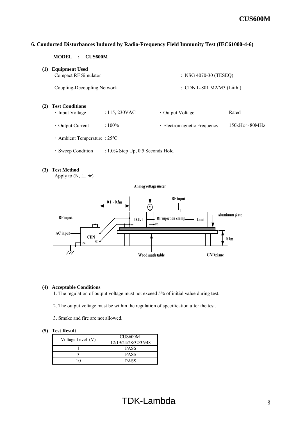## **6. Conducted Disturbances Induced by Radio-Frequency Field Immunity Test (IEC61000-4-6)**

**MODEL : CUS600M**

**(1) Equipment Used**

Compact RF Simulator : NSG 4070-30 (TESEQ)

Coupling-Decoupling Network : CDN L-801 M2/M3 (Liithi)

**(2) Test Conditions**

| • Input Voltage        | : 115, 230VAC | • Output Voltage            | : Rated               |
|------------------------|---------------|-----------------------------|-----------------------|
| $\cdot$ Output Current | $:100\%$      | · Electromagnetic Frequency | : 150kHz $\sim$ 80MHz |

- ・Ambient Temperature : 25℃
- ・Sweep Condition : 1.0% Step Up, 0.5 Seconds Hold

#### **(3) Test Method**

Apply to  $(N, L, \doteq)$ 



#### **(4) Acceptable Conditions**

1. The regulation of output voltage must not exceed 5% of initial value during test.

- 2. The output voltage must be within the regulation of specification after the test.
- 3. Smoke and fire are not allowed.

| Voltage Level (V) | CUS600M-             |
|-------------------|----------------------|
|                   | 12/19/24/28/32/36/48 |
|                   | <b>PASS</b>          |
|                   | <b>PASS</b>          |
|                   | <b>PASS</b>          |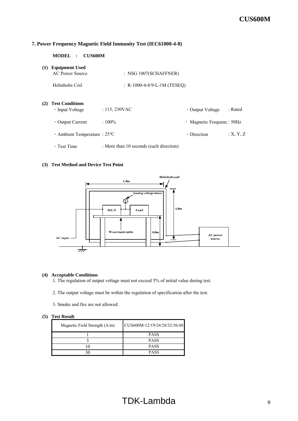## **7. Power Frequency Magnetic Field Immunity Test (IEC61000-4-8)**

| <b>MODEL</b> | <b>CUS600M</b> |
|--------------|----------------|
|--------------|----------------|

| (1) | <b>Equipment Used</b><br><b>AC Power Source</b>       | $:$ NSG 1007(SCHAFFNER)                 |                            |          |
|-----|-------------------------------------------------------|-----------------------------------------|----------------------------|----------|
|     | Helmholts Coil                                        | : R-1000-4-8/9-L-1M (TESEO)             |                            |          |
| (2) | <b>Test Conditions</b><br>$\cdot$ Input Voltage       | $: 115, 230$ VAC                        | • Output Voltage           | : Rated  |
|     | $\cdot$ Output Current                                | $:100\%$                                | · Magnetic Frequenc : 50Hz |          |
|     | $\cdot$ Ambient Temperature : 25 $\mathrm{^{\circ}C}$ |                                         | $\cdot$ Direction          | :X, Y, Z |
|     | $\cdot$ Test Time                                     | : More than 10 seconds (each direction) |                            |          |

#### **(3) Test Method and Device Test Point**



#### **(4) Acceptable Conditions**

1. The regulation of output voltage must not exceed 5% of initial value during test.

2. The output voltage must be within the regulation of specification after the test.

3. Smoke and fire are not allowed.

| Magnetic Field Strength $(A/m)$ | CUS600M-12/19/24/28/32/36/48 |
|---------------------------------|------------------------------|
|                                 | <b>PASS</b>                  |
|                                 | <b>PASS</b>                  |
|                                 | <b>PASS</b>                  |
|                                 | <b>PASS</b>                  |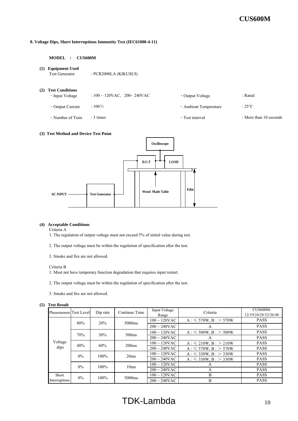#### **8. Voltage Dips, Short Interruptions Immunity Test (IEC61000-4-11)**

#### **MODEL : CUS600M**

**(1) Equipment Used**

Test Generator : PCR2000LA (KIKUSUI)

- **(2) Test Conditions**
	-
- $: 100 \sim 120$ VAC,  $200 \sim 240$ VAC · Output Voltage : Rated
- 
- ・Output Current : 100% ・Ambient Temperature : 25℃

- 
- Number of Tests : 3 times : 3 times : 3 times : 3 times : 1 to than 10 seconds : More than 10 seconds

#### **(3) Test Method and Device Test Point**



#### **(4) Acceptable Conditions**

Criteria A

- 1. The regulation of output voltage must not exceed 5% of initial value during test.
- 2. The output voltage must be within the regulation of specification after the test.

3. Smoke and fire are not allowed.

#### Criteria B

- 1. Must not have temporary function degradation that requires input restart.
- 2. The output voltage must be within the regulation of specification after the test.
- 3. Smoke and fire are not allowed.

#### **(5) Test Result**

| Phenomenon Test Level |       | Dip rate | Continue Time      | Input Voltage<br>Range    | Criteria                     | CUS600M-<br>12/19/24/28/32/36/48 |
|-----------------------|-------|----------|--------------------|---------------------------|------------------------------|----------------------------------|
|                       | 80%   | 20%      | 5000 <sub>ms</sub> | $100 \sim 120$ VAC        | $A: \leq 570W, B: > 570W$    | <b>PASS</b>                      |
|                       |       |          |                    | $200 \sim 240 \text{VAC}$ | A                            | <b>PASS</b>                      |
|                       | 70%   | 30%      | 500 <sub>ms</sub>  | $100 \sim 120$ VAC        | $A: \leq 500W, B: > 500W$    | <b>PASS</b>                      |
|                       |       |          |                    | $200 \sim 240 \text{VAC}$ | A                            | <b>PASS</b>                      |
| Voltage               | 40%   | 60%      | 200 <sub>ms</sub>  | $100 \sim 120$ VAC        | $A: \leq 210W, B: > 210W$    | <b>PASS</b>                      |
| dips                  |       |          |                    | $200 \sim 240$ VAC        | $A: \leq 570W$ , $B: > 570W$ | <b>PASS</b>                      |
|                       | $0\%$ | $100\%$  | 20ms               | $100 \sim 120$ VAC        | $A: \leq 330W, B: > 330W$    | <b>PASS</b>                      |
|                       |       |          |                    | $200 \sim 240$ VAC        | $A: \leq 330W, B: > 330W$    | <b>PASS</b>                      |
|                       | $0\%$ | $100\%$  | 10ms               | $100 \sim 120$ VAC        | А                            | <b>PASS</b>                      |
|                       |       |          |                    | $200 \sim 240$ VAC        | A                            | <b>PASS</b>                      |
| Short                 | $0\%$ | $100\%$  | 5000 <sub>ms</sub> | $100 \sim 120$ VAC        | B                            | <b>PASS</b>                      |
| Interruptions         |       |          |                    | $200 \sim 240$ VAC        | B                            | <b>PASS</b>                      |

# TDK-Lambda 10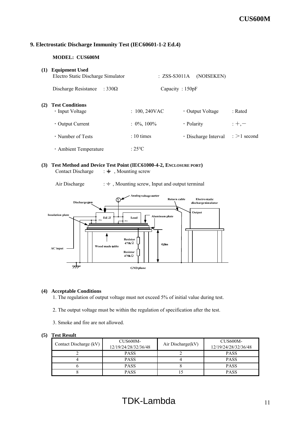## **9. Electrostatic Discharge Immunity Test (IEC60601-1-2 Ed.4)**

## **MODEL: CUS600M**

| (1) | <b>Equipment Used</b><br>Electro Static Discharge Simulator | $: ZSS-S3011A$     | (NOISEKEN)                 |                       |
|-----|-------------------------------------------------------------|--------------------|----------------------------|-----------------------|
|     | Discharge Resistance<br>: 330 $\Omega$                      | Capacity : $150pF$ |                            |                       |
| (2) | <b>Test Conditions</b><br>$\cdot$ Input Voltage             | $: 100, 240$ VAC   | • Output Voltage           | $:$ Rated             |
|     | $\cdot$ Output Current                                      | $: 0\%, 100\%$     | · Polarity                 | $: +, -$              |
|     | $\cdot$ Number of Tests                                     | $\cdot$ 10 times   | $\cdot$ Discharge Interval | $\epsilon > 1$ second |
|     | · Ambient Temperature                                       | $:25^{\circ}$ C    |                            |                       |

## **(3) Test Method and Device Test Point (IEC61000-4-2, ENCLOSURE PORT)** Contact Discharge  $\;\; : \doteq$ , Mounting screw

Air Discharge  $\qquad$  :  $\div$ , Mounting screw, Input and output terminal



## **(4) Acceptable Conditions**

1. The regulation of output voltage must not exceed 5% of initial value during test.

- 2. The output voltage must be within the regulation of specification after the test.
- 3. Smoke and fire are not allowed.

| Contact Discharge (kV) | CUS600M-<br>12/19/24/28/32/36/48 | Air Discharge(kV) | CUS600M-<br>12/19/24/28/32/36/48 |
|------------------------|----------------------------------|-------------------|----------------------------------|
|                        | <b>PASS</b>                      |                   | <b>PASS</b>                      |
|                        | <b>PASS</b>                      |                   | <b>PASS</b>                      |
|                        | <b>PASS</b>                      |                   | <b>PASS</b>                      |
|                        | <b>PASS</b>                      |                   | <b>PASS</b>                      |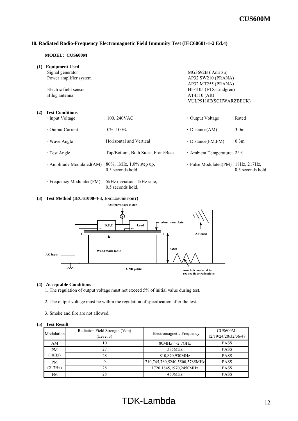## **10. Radiated Radio-Frequency Electromagnetic Field Immunity Test (IEC60601-1-2 Ed.4)**

#### **MODEL: CUS600M**

| (1) | <b>Equipment Used</b>                               |                                      |                                              |                  |
|-----|-----------------------------------------------------|--------------------------------------|----------------------------------------------|------------------|
|     | Signal generator                                    |                                      | : $MG3692B$ (Anritsu)                        |                  |
|     | Power amplifier system                              |                                      | : AP32 SW210 (PRANA)                         |                  |
|     |                                                     |                                      | : AP32 MT255 (PRANA)                         |                  |
|     | Electric field sensor                               |                                      | : HI-6105 (ETS-Lindgren)                     |                  |
|     | Bilog antenna                                       |                                      | : $AT4510 (AR)$                              |                  |
|     |                                                     |                                      | : VULP9118E(SCHWARZBECK)                     |                  |
| (2) | <b>Test Conditions</b>                              |                                      |                                              |                  |
|     | • Input Voltage                                     | $: 100, 240$ VAC                     | • Output Voltage                             | : Rated          |
|     | $\cdot$ Output Current                              | $: 0\%, 100\%$                       | $\cdot$ Distance(AM)                         | : 3.0m           |
|     | $\cdot$ Wave Angle                                  | : Horizontal and Vertical            | $\cdot$ Distance(FM,PM)                      | : 0.3m           |
|     | $\cdot$ Test Angle                                  | : Top/Bottom, Both Sides, Front/Back | $\cdot$ Ambient Temperature : 25 $\degree$ C |                  |
|     | · Amplitude Modulated(AM): 80%, 1kHz, 1.0% step up, | 0.5 seconds hold.                    | · Pulse Modulated(PM): 18Hz, 217Hz,          | 0.5 seconds hold |
|     |                                                     |                                      |                                              |                  |

・Frequency Modulated(FM) : 5kHz deviation, 1kHz sine, 0.5 seconds hold.

#### **(3) Test Method (IEC61000-4-3, ENCLOSURE PORT)**



#### **(4) Acceptable Conditions**

- 1. The regulation of output voltage must not exceed 5% of initial value during test.
- 2. The output voltage must be within the regulation of specification after the test.
- 3. Smoke and fire are not allowed.

| Modulation | Radiation Field Strength (V/m)<br>(Level 3) | Electromagnetic Frequency     | CUS600M-<br>12/19/24/28/32/36/48 |
|------------|---------------------------------------------|-------------------------------|----------------------------------|
| AM         | 10                                          | 80MHz $\sim$ 2.7GHz           | <b>PASS</b>                      |
| <b>PM</b>  | 27                                          | 385MHz                        | <b>PASS</b>                      |
| (18Hz)     | 28                                          | 810,870,930MHz                | <b>PASS</b>                      |
| <b>PM</b>  |                                             | 710,745,780,5240,5500,5785MHz | <b>PASS</b>                      |
| (217Hz)    | 28                                          | 1720,1845,1970,2450MHz        | <b>PASS</b>                      |
| FM         | 28                                          | 450MHz                        | <b>PASS</b>                      |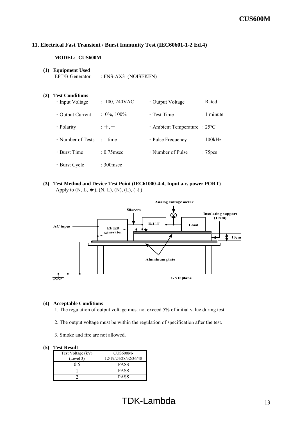## **11. Electrical Fast Transient / Burst Immunity Test (IEC60601-1-2 Ed.4)**

### **MODEL: CUS600M**

**(1) Equipment Used** EFT/B Generator : FNS-AX3 (NOISEKEN)

## **(2) Test Conditions**

| • Input Voltage        | $: 100, 240$ VAC | • Output Voltage                             | : Rated             |
|------------------------|------------------|----------------------------------------------|---------------------|
| $\cdot$ Output Current | $: 0\%, 100\%$   | $\cdot$ Test Time                            | $: 1$ minute        |
| · Polarity             | $: +, -$         | $\cdot$ Ambient Temperature : 25 $\degree$ C |                     |
| • Number of Tests      | $\cdot$ 1 time   | • Pulse Frequency                            | :100kHz             |
| $\cdot$ Burst Time     | $: 0.75$ msec    | • Number of Pulse                            | : 75 <sub>pcs</sub> |
| • Burst Cycle          | $: 300$ msec     |                                              |                     |

## **(3) Test Method and Device Test Point (IEC61000-4-4, Input a.c. power PORT)** Apply to  $(N, L, \pm)$ ,  $(N, L)$ ,  $(N)$ ,  $(L)$ ,  $(\pm)$



## **(4) Acceptable Conditions**

1. The regulation of output voltage must not exceed 5% of initial value during test.

2. The output voltage must be within the regulation of specification after the test.

3. Smoke and fire are not allowed.

| Test Voltage (kV) | <b>CUS600M-</b>      |
|-------------------|----------------------|
| (Level 3)         | 12/19/24/28/32/36/48 |
| ი ร               | <b>PASS</b>          |
|                   | <b>PASS</b>          |
|                   | PASS                 |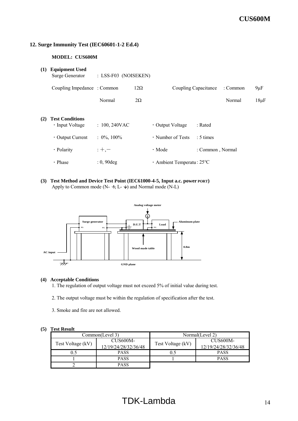## **12. Surge Immunity Test (IEC60601-1-2 Ed.4)**

## **MODEL: CUS600M**

| (1) | <b>Equipment Used</b><br>Surge Generator  | : LSS-F03 (NOISEKEN) |            |                                           |                      |          |           |
|-----|-------------------------------------------|----------------------|------------|-------------------------------------------|----------------------|----------|-----------|
|     | Coupling Impedance: Common                |                      | $12\Omega$ |                                           | Coupling Capacitance | : Common | $9 \mu F$ |
|     |                                           | Normal               | $2\Omega$  |                                           |                      | Normal   | $18\mu F$ |
| (2) | <b>Test Conditions</b><br>· Input Voltage | $: 100, 240$ VAC     |            | • Output Voltage                          | : Rated              |          |           |
|     | $\cdot$ Output Current                    | $: 0\%, 100\%$       |            | • Number of Tests                         | $: 5 \times$         |          |           |
|     | · Polarity                                | $;+, -$              |            | $\cdot$ Mode                              | : Common, Normal     |          |           |
|     | • Phase                                   | $: 0, 90$ deg        |            | $\cdot$ Ambient Temperatu: 25 $\degree$ C |                      |          |           |

**(3) Test Method and Device Test Point (IEC61000-4-5, Input a.c. power PORT)** Apply to Common mode (N-  $\neq$ , L-  $\neq$ ) and Normal mode (N-L)



#### **(4) Acceptable Conditions**

1. The regulation of output voltage must not exceed 5% of initial value during test.

- 2. The output voltage must be within the regulation of specification after the test.
- 3. Smoke and fire are not allowed.

|                   | Common(Level 3)      | Normal(Level 2)   |                       |  |
|-------------------|----------------------|-------------------|-----------------------|--|
| Test Voltage (kV) | CUS600M-             | Test Voltage (kV) | CUS <sub>600</sub> M- |  |
|                   | 12/19/24/28/32/36/48 |                   | 12/19/24/28/32/36/48  |  |
|                   | <b>PASS</b>          |                   | <b>PASS</b>           |  |
|                   | <b>PASS</b>          |                   | <b>PASS</b>           |  |
|                   | <b>PASS</b>          |                   |                       |  |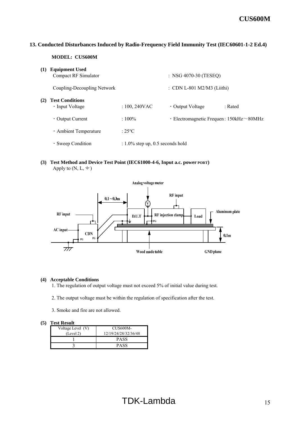## **13. Conducted Disturbances Induced by Radio-Frequency Field Immunity Test (IEC60601-1-2 Ed.4)**

#### **MODEL: CUS600M**

| (1) | <b>Equipment Used</b><br>Compact RF Simulator |                                     | : NSG 4070-30 (TESEQ)                                |         |
|-----|-----------------------------------------------|-------------------------------------|------------------------------------------------------|---------|
|     | Coupling-Decoupling Network                   |                                     | : CDN L-801 M2/M3 (Liithi)                           |         |
| (2) | <b>Test Conditions</b><br>· Input Voltage     | $: 100, 240$ VAC                    | • Output Voltage                                     | : Rated |
|     | $\cdot$ Output Current                        | $:100\%$                            | $\cdot$ Electromagnetic Frequen: 150kHz $\sim$ 80MHz |         |
|     | · Ambient Temperature                         | $:25^{\circ}$ C                     |                                                      |         |
|     | • Sweep Condition                             | $: 1.0\%$ step up, 0.5 seconds hold |                                                      |         |

**(3) Test Method and Device Test Point (IEC61000-4-6, Input a.c. power PORT)** Apply to  $(N, L, \frac{1}{\epsilon})$ 



#### **(4) Acceptable Conditions**

1. The regulation of output voltage must not exceed 5% of initial value during test.

2. The output voltage must be within the regulation of specification after the test.

3. Smoke and fire are not allowed.

| Voltage Level (V) | CUS600M-             |  |  |
|-------------------|----------------------|--|--|
| (Level 2)         | 12/19/24/28/32/36/48 |  |  |
|                   | PASS                 |  |  |
|                   | PASS                 |  |  |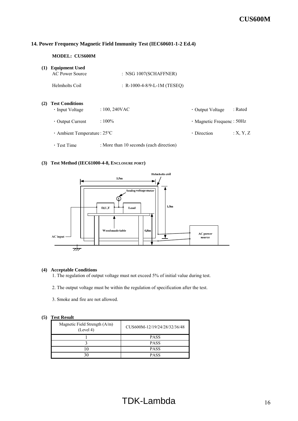## **14. Power Frequency Magnetic Field Immunity Test (IEC60601-1-2 Ed.4)**

#### **MODEL: CUS600M**

| (1) | <b>Equipment Used</b><br>AC Power Source  | : NSG 1007(SCHAFFNER)                   |                                  |          |
|-----|-------------------------------------------|-----------------------------------------|----------------------------------|----------|
|     | Helmholts Coil                            | : R-1000-4-8/9-L-1M (TESEO)             |                                  |          |
| (2) | <b>Test Conditions</b><br>• Input Voltage | $: 100, 240$ VAC                        | • Output Voltage                 | : Rated  |
|     | $\cdot$ Output Current                    | $:100\%$                                | $\cdot$ Magnetic Frequenc : 50Hz |          |
|     | $\cdot$ Ambient Temperature : 25 °C       |                                         | $\cdot$ Direction                | :X, Y, Z |
|     | $\cdot$ Test Time                         | : More than 10 seconds (each direction) |                                  |          |

## **(3) Test Method (IEC61000-4-8, ENCLOSURE PORT)**



#### **(4) Acceptable Conditions**

- 1. The regulation of output voltage must not exceed 5% of initial value during test.
- 2. The output voltage must be within the regulation of specification after the test.
- 3. Smoke and fire are not allowed.

| Magnetic Field Strength (A/m)<br>(Level 4) | CUS600M-12/19/24/28/32/36/48 |  |
|--------------------------------------------|------------------------------|--|
|                                            | <b>PASS</b>                  |  |
|                                            | <b>PASS</b>                  |  |
|                                            | <b>PASS</b>                  |  |
|                                            | <b>PASS</b>                  |  |